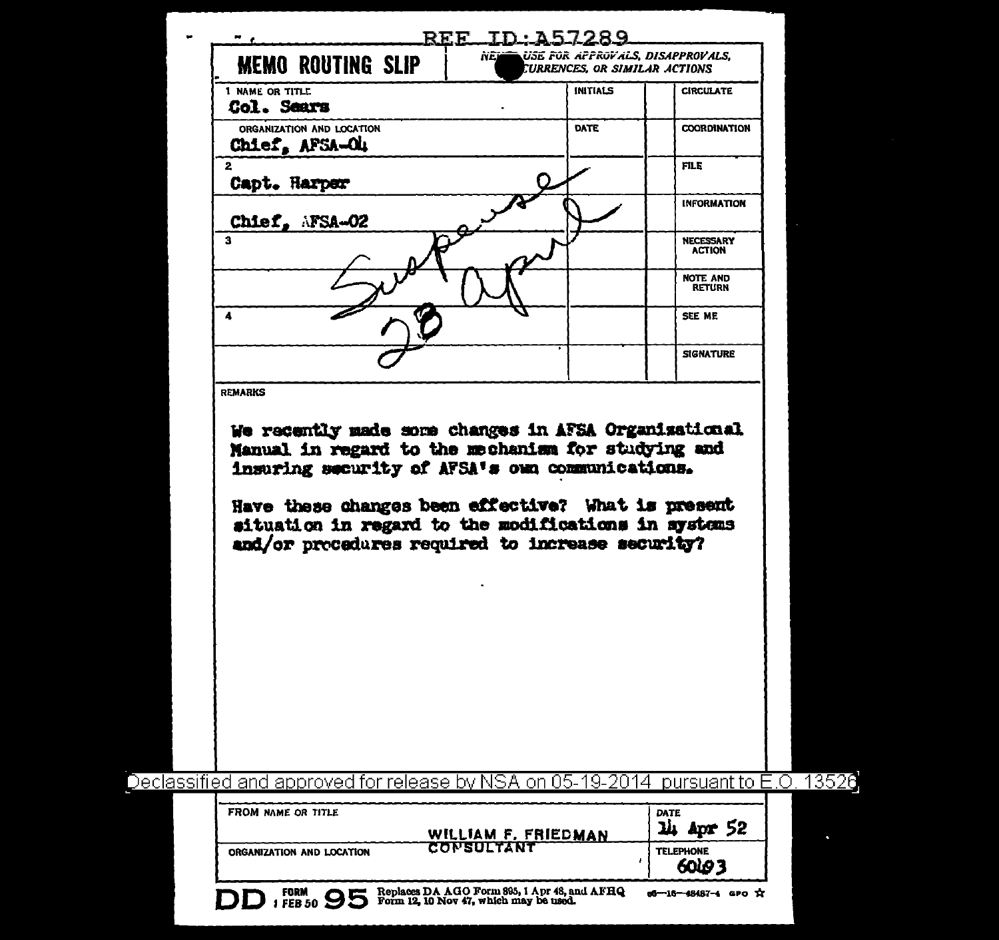